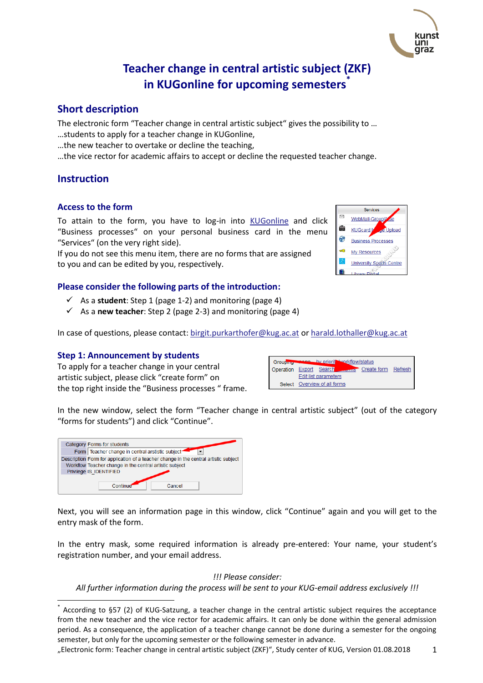# **Teacher change in central artistic subject (ZKF) in KUGonline for upcoming semesters\***

## **Short description**

The electronic form "Teacher change in central artistic subject" gives the possibility to ... …students to apply for a teacher change in KUGonline,

- …the new teacher to overtake or decline the teaching,
- …the vice rector for academic affairs to accept or decline the requested teacher change.

## **Instruction**

 $\overline{\phantom{a}}$ 

#### **Access to the form**

To attain to the form, you have to log-in into [KUGonline](http://online.kug.ac.at/) and click "Business processes" on your personal business card in the menu "Services" (on the very right side).

If you do not see this menu item, there are no forms that are assigned to you and can be edited by you, respectively.

### **Please consider the following parts of the introduction:**

- $\checkmark$  As a **student**: Step 1 (page 1-2) and monitoring (page 4)
- $\checkmark$  As a **new teacher**: Step 2 (page 2-3) and monitoring (page 4)

In case of questions, please contact[: birgit.purkarthofer@kug.ac.at](mailto:birgit.purkarthofer@kug.ac.at) o[r harald.lothaller@kug.ac.at](mailto:harald.lothaller@kug.ac.at)

#### **Step 1: Announcement by students**

To apply for a teacher change in your central artistic subject, please click "create form" on the top right inside the "Business processes " frame.

| Grouping <b>The</b> | <b>Rang</b> by priorit workflow/status |         |
|---------------------|----------------------------------------|---------|
|                     | Operation Export Search Create form    | Refresh |
|                     | Edit list parameters                   |         |
|                     | Select Overview of all forms           |         |

In the new window, select the form "Teacher change in central artistic subject" (out of the category "forms for students") and click "Continue".

|                         | Category Forms for students                                                          |  |  |
|-------------------------|--------------------------------------------------------------------------------------|--|--|
|                         | Form Teacher change in central arstistic subject <sup>+</sup>                        |  |  |
|                         | Description Form for application of a teacher change in the central artistic subject |  |  |
|                         | Workflow Teacher change in the central artistic subject                              |  |  |
| Privilege IS IDENTIFIED |                                                                                      |  |  |
|                         |                                                                                      |  |  |
|                         | Continue<br>Cancel                                                                   |  |  |

Next, you will see an information page in this window, click "Continue" again and you will get to the entry mask of the form.

In the entry mask, some required information is already pre-entered: Your name, your student's registration number, and your email address.

#### *!!! Please consider:*

*All further information during the process will be sent to your KUG-email address exclusively !!!*





<sup>\*</sup> According to §57 (2) of KUG-Satzung, a teacher change in the central artistic subject requires the acceptance from the new teacher and the vice rector for academic affairs. It can only be done within the general admission period. As a consequence, the application of a teacher change cannot be done during a semester for the ongoing semester, but only for the upcoming semester or the following semester in advance.

<sup>&</sup>quot;Electronic form: Teacher change in central artistic subject (ZKF)", Study center of KUG, Version 01.08.2018 1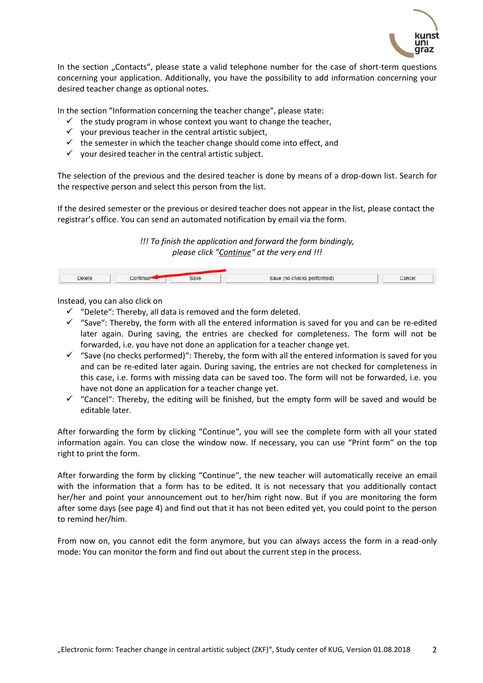

In the section "Contacts", please state a valid telephone number for the case of short-term questions concerning your application. Additionally, you have the possibility to add information concerning your desired teacher change as optional notes.

In the section "Information concerning the teacher change", please state:

- $\checkmark$  the study program in whose context you want to change the teacher,
- $\checkmark$  your previous teacher in the central artistic subject,
- $\checkmark$  the semester in which the teacher change should come into effect, and
- $\checkmark$  your desired teacher in the central artistic subject.

The selection of the previous and the desired teacher is done by means of a drop-down list. Search for the respective person and select this person from the list.

If the desired semester or the previous or desired teacher does not appear in the list, please contact the registrar's office. You can send an automated notification by email via the form.

> *!!! To finish the application and forward the form bindingly, please click "Continue" at the very end !!!*

| <b>Delete</b><br>------ | <b>Contract Contract Contract</b><br>Continue <sup>-</sup><br>--------- | Doug<br><b>Save</b><br>----- | ------<br>savr<br>≈ perīormeα.<br>mo<br><b>LIICLAS</b><br>$\blacksquare$ . The contract of the contract of the contract of the contract of the contract of the contract of the contract of the contract of the contract of the contract of the contract of the contract of the contract of the<br>and the contract of the contract of the contract of the contract of the contract of the contract of the contract of | Cance<br>------ |
|-------------------------|-------------------------------------------------------------------------|------------------------------|-----------------------------------------------------------------------------------------------------------------------------------------------------------------------------------------------------------------------------------------------------------------------------------------------------------------------------------------------------------------------------------------------------------------------|-----------------|
|                         |                                                                         |                              |                                                                                                                                                                                                                                                                                                                                                                                                                       |                 |

Instead, you can also click on

- $\checkmark$  "Delete": Thereby, all data is removed and the form deleted.
- $\checkmark$  "Save": Thereby, the form with all the entered information is saved for you and can be re-edited later again. During saving, the entries are checked for completeness. The form will not be forwarded, i.e. you have not done an application for a teacher change yet.
- $\checkmark$  "Save (no checks performed)": Thereby, the form with all the entered information is saved for you and can be re-edited later again. During saving, the entries are not checked for completeness in this case, i.e. forms with missing data can be saved too. The form will not be forwarded, i.e. you have not done an application for a teacher change yet.
- $\checkmark$  "Cancel": Thereby, the editing will be finished, but the empty form will be saved and would be editable later.

After forwarding the form by clicking "Continue", you will see the complete form with all your stated information again. You can close the window now. If necessary, you can use "Print form" on the top right to print the form.

After forwarding the form by clicking "Continue", the new teacher will automatically receive an email with the information that a form has to be edited. It is not necessary that you additionally contact her/her and point your announcement out to her/him right now. But if you are monitoring the form after some days (see page 4) and find out that it has not been edited yet, you could point to the person to remind her/him.

From now on, you cannot edit the form anymore, but you can always access the form in a read-only mode: You can monitor the form and find out about the current step in the process.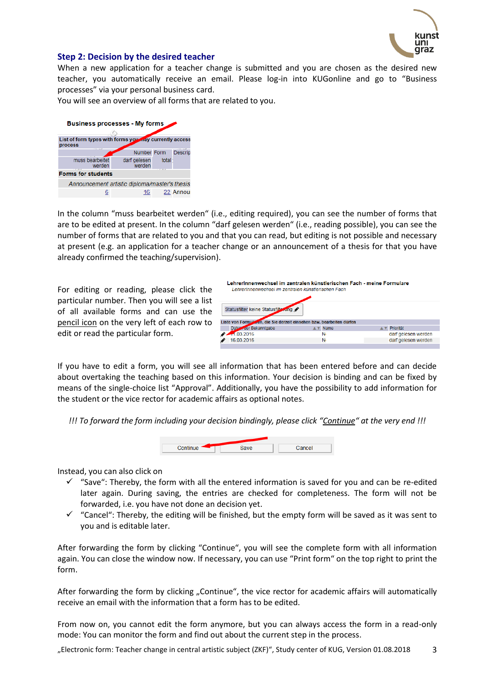

#### **Step 2: Decision by the desired teacher**

When a new application for a teacher change is submitted and you are chosen as the desired new teacher, you automatically receive an email. Please log-in into KUGonline and go to "Business processes" via your personal business card.

You will see an overview of all forms that are related to you.

| <b>Business processes - My forms</b>                               |                        |       |           |
|--------------------------------------------------------------------|------------------------|-------|-----------|
|                                                                    |                        |       |           |
| List of form types with forms you andy currently access<br>process |                        |       |           |
|                                                                    | Number Form            |       | Descrip   |
| muss bearbeitet<br>werden                                          | darf gelesen<br>werden | total |           |
| <b>Forms for students</b>                                          |                        |       |           |
| Announcement artistic diploma/master's thesis                      |                        |       |           |
|                                                                    | 16                     |       | 22 Annoul |

In the column "muss bearbeitet werden" (i.e., editing required), you can see the number of forms that are to be edited at present. In the column "darf gelesen werden" (i.e., reading possible), you can see the number of forms that are related to you and that you can read, but editing is not possible and necessary at present (e.g. an application for a teacher change or an announcement of a thesis for that you have already confirmed the teaching/supervision).

For editing or reading, please click the particular number. Then you will see a list of all available forms and can use the pencil icon on the very left of each row to edit or read the particular form.

| Lehrerinnenwechsel im zentralen künstlerischen Fach - meine Formulare<br>LehrerInnenwechsel im zentralen künstlerischen Fach |             |                     |  |
|------------------------------------------------------------------------------------------------------------------------------|-------------|---------------------|--|
| Statusfilter keine Statusfilter und                                                                                          |             |                     |  |
| Liste von Formularen, die Sie derzeit einsehen bzw. bearbeiten dürfen                                                        |             |                     |  |
| Datum der Bekanntgabe                                                                                                        | <b>Name</b> | Priorität           |  |
| $-1,03,2016$                                                                                                                 | N           | darf gelesen werden |  |
| 16 03 2016                                                                                                                   | N           | darf gelesen werden |  |
|                                                                                                                              |             |                     |  |

If you have to edit a form, you will see all information that has been entered before and can decide about overtaking the teaching based on this information. Your decision is binding and can be fixed by means of the single-choice list "Approval". Additionally, you have the possibility to add information for the student or the vice rector for academic affairs as optional notes.

*!!! To forward the form including your decision bindingly, please click "Continue" at the very end !!!*



Instead, you can also click on

- $\checkmark$  "Save": Thereby, the form with all the entered information is saved for you and can be re-edited later again. During saving, the entries are checked for completeness. The form will not be forwarded, i.e. you have not done an decision yet.
- $\checkmark$  "Cancel": Thereby, the editing will be finished, but the empty form will be saved as it was sent to you and is editable later.

After forwarding the form by clicking "Continue", you will see the complete form with all information again. You can close the window now. If necessary, you can use "Print form" on the top right to print the form.

After forwarding the form by clicking "Continue", the vice rector for academic affairs will automatically receive an email with the information that a form has to be edited.

From now on, you cannot edit the form anymore, but you can always access the form in a read-only mode: You can monitor the form and find out about the current step in the process.